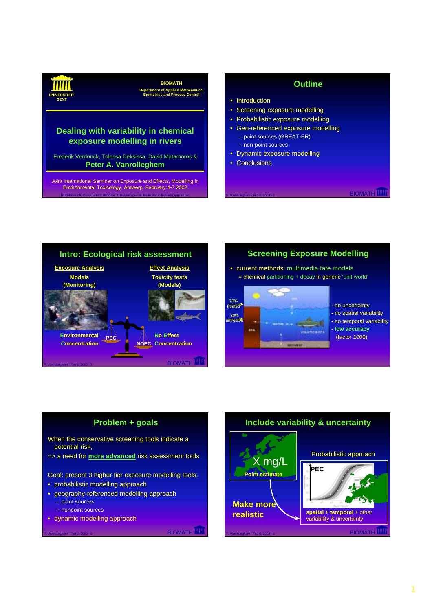**GENT**

# **BIOMATH**

**Department of Applied Mathematics UNIVERSITEIT Biometrics and Process Control**

## **Dealing with variability in chemical exposure modelling in rivers**

Frederik Verdonck, Tolessa Deksissa, David Matamoros & **Peter A. Vanrolleghem**

RUG-Biomath, Coupure 653, 9000 Gent, Belgium (e-mail Peter.Vanrolleghem@rug.ac.be) Joint International Seminar on Exposure and Effects, Modelling in Environmental Toxicology, Antwerp, February 4-7 2002

## **Outline**

- Introduction
- Screening exposure modelling
- Probabilistic exposure modelling
- Geo-referenced exposure modelling – point sources (GREAT-ER)
	- non-point sources
- Dynamic exposure modelling
- Conclusions

#### **BIOMATH IIII Intro: Ecological risk assessment PEC NOEC Concentration Environmental Concentration Exposure Analysis Models (Monitoring) No Effect Effect Analysis Toxicity tests (Models)**

## **Screening Exposure Modelling**

• current methods: multimedia fate models = chemical partitioning + decay in generic 'unit world'



no uncertainty - no spatial variability - no temporal variability - **low accuracy** (factor 1000)

**BIOMATH III** 

## **Problem + goals**

When the conservative screening tools indicate a potential risk,

=> a need for **more advanced** risk assessment tools

Goal: present 3 higher tier exposure modelling tools:

- probabilistic modelling approach
- geography-referenced modelling approach – point sources
	- nonpoint sources
- dynamic modelling approach

**BIOMATH** 

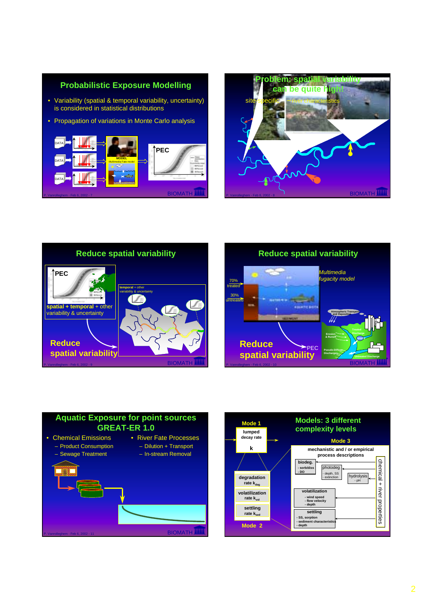









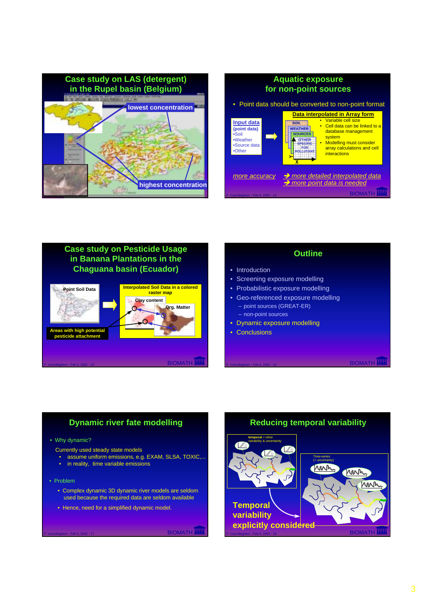

| <b>Aquatic exposure</b><br>for non-point sources                          |                                                                                                                                                                                                                                                                                    |
|---------------------------------------------------------------------------|------------------------------------------------------------------------------------------------------------------------------------------------------------------------------------------------------------------------------------------------------------------------------------|
| • Point data should be converted to non-point format                      |                                                                                                                                                                                                                                                                                    |
| Input data<br>(point data)<br>•Soil<br>•Weather<br>•Source data<br>•Other | Data interpolated in Array form<br>Variable cell size<br>SOIL<br>• Cell data can be linked to a<br>database management<br><b>SOURCES</b><br>system<br>• Modelling must consider<br><b>SPECIFIC</b><br>FOR<br>array calculations and cell<br><b>POLLUTAL</b><br><i>interactions</i> |
| more accuracy                                                             | $\rightarrow$ more detailed interpolated data<br>$\rightarrow$ more point data is needed                                                                                                                                                                                           |
| P. Vanrolleghem - Feb 6, 2002 - 14                                        | <b>BIOMAT</b>                                                                                                                                                                                                                                                                      |



# **Outline**

#### • Introduction

- Screening exposure modelling
- Probabilistic exposure modelling
- Geo-referenced exposure modelling – point sources (GREAT-ER)
	- non-point sources
- Dynamic exposure modelling
- Conclusions

**BIOMATH IIIII** 

#### **Dynamic river fate modelling**

• Why dynamic?

**pesticide attachment**

- Currently used steady state models
	- assume uniform emissions, e.g. EXAM, SLSA, TOXIC,...
- in reality, time variable emissions
- Problem
	- Complex dynamic 3D dynamic river models are seldom used because the required data are seldom available
	- Hence, need for a simplified dynamic model.

P. Van Personaliste en Biomath IIII

**P. VANROUGHEM BIOMATH** 

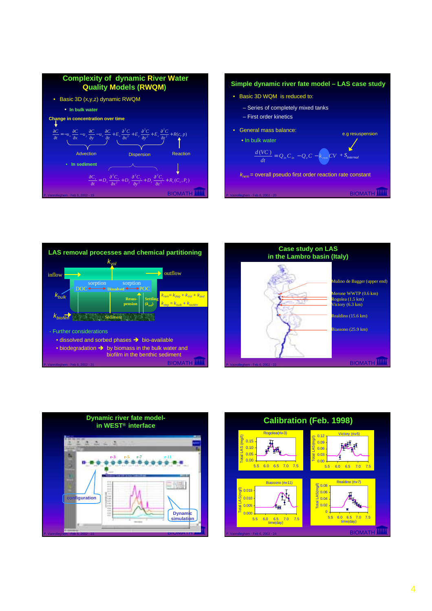